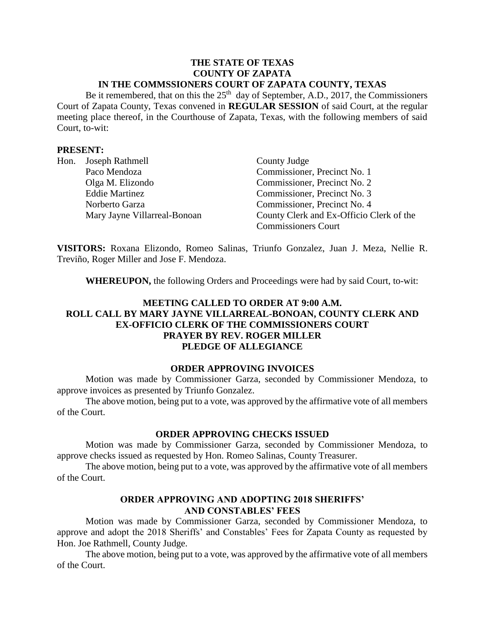### **THE STATE OF TEXAS COUNTY OF ZAPATA IN THE COMMSSIONERS COURT OF ZAPATA COUNTY, TEXAS**

Be it remembered, that on this the  $25<sup>th</sup>$  day of September, A.D., 2017, the Commissioners Court of Zapata County, Texas convened in **REGULAR SESSION** of said Court, at the regular meeting place thereof, in the Courthouse of Zapata, Texas, with the following members of said Court, to-wit:

### **PRESENT:**

| Hon. | Joseph Rathmell              | County Judge                             |
|------|------------------------------|------------------------------------------|
|      | Paco Mendoza                 | Commissioner, Precinct No. 1             |
|      | Olga M. Elizondo             | Commissioner, Precinct No. 2             |
|      | <b>Eddie Martinez</b>        | Commissioner, Precinct No. 3             |
|      | Norberto Garza               | Commissioner, Precinct No. 4             |
|      | Mary Jayne Villarreal-Bonoan | County Clerk and Ex-Officio Clerk of the |
|      |                              | <b>Commissioners Court</b>               |

**VISITORS:** Roxana Elizondo, Romeo Salinas, Triunfo Gonzalez, Juan J. Meza, Nellie R. Treviño, Roger Miller and Jose F. Mendoza.

**WHEREUPON,** the following Orders and Proceedings were had by said Court, to-wit:

# **MEETING CALLED TO ORDER AT 9:00 A.M. ROLL CALL BY MARY JAYNE VILLARREAL-BONOAN, COUNTY CLERK AND EX-OFFICIO CLERK OF THE COMMISSIONERS COURT PRAYER BY REV. ROGER MILLER PLEDGE OF ALLEGIANCE**

#### **ORDER APPROVING INVOICES**

Motion was made by Commissioner Garza, seconded by Commissioner Mendoza, to approve invoices as presented by Triunfo Gonzalez.

The above motion, being put to a vote, was approved by the affirmative vote of all members of the Court.

#### **ORDER APPROVING CHECKS ISSUED**

Motion was made by Commissioner Garza, seconded by Commissioner Mendoza, to approve checks issued as requested by Hon. Romeo Salinas, County Treasurer.

The above motion, being put to a vote, was approved by the affirmative vote of all members of the Court.

### **ORDER APPROVING AND ADOPTING 2018 SHERIFFS' AND CONSTABLES' FEES**

Motion was made by Commissioner Garza, seconded by Commissioner Mendoza, to approve and adopt the 2018 Sheriffs' and Constables' Fees for Zapata County as requested by Hon. Joe Rathmell, County Judge.

The above motion, being put to a vote, was approved by the affirmative vote of all members of the Court.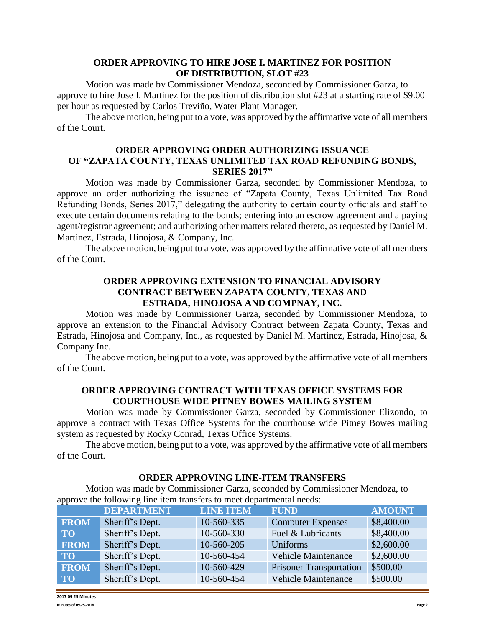# **ORDER APPROVING TO HIRE JOSE I. MARTINEZ FOR POSITION OF DISTRIBUTION, SLOT #23**

Motion was made by Commissioner Mendoza, seconded by Commissioner Garza, to approve to hire Jose I. Martinez for the position of distribution slot #23 at a starting rate of \$9.00 per hour as requested by Carlos Treviño, Water Plant Manager.

The above motion, being put to a vote, was approved by the affirmative vote of all members of the Court.

## **ORDER APPROVING ORDER AUTHORIZING ISSUANCE OF "ZAPATA COUNTY, TEXAS UNLIMITED TAX ROAD REFUNDING BONDS, SERIES 2017"**

Motion was made by Commissioner Garza, seconded by Commissioner Mendoza, to approve an order authorizing the issuance of "Zapata County, Texas Unlimited Tax Road Refunding Bonds, Series 2017," delegating the authority to certain county officials and staff to execute certain documents relating to the bonds; entering into an escrow agreement and a paying agent/registrar agreement; and authorizing other matters related thereto, as requested by Daniel M. Martinez, Estrada, Hinojosa, & Company, Inc.

The above motion, being put to a vote, was approved by the affirmative vote of all members of the Court.

# **ORDER APPROVING EXTENSION TO FINANCIAL ADVISORY CONTRACT BETWEEN ZAPATA COUNTY, TEXAS AND ESTRADA, HINOJOSA AND COMPNAY, INC.**

Motion was made by Commissioner Garza, seconded by Commissioner Mendoza, to approve an extension to the Financial Advisory Contract between Zapata County, Texas and Estrada, Hinojosa and Company, Inc., as requested by Daniel M. Martinez, Estrada, Hinojosa, & Company Inc.

The above motion, being put to a vote, was approved by the affirmative vote of all members of the Court.

## **ORDER APPROVING CONTRACT WITH TEXAS OFFICE SYSTEMS FOR COURTHOUSE WIDE PITNEY BOWES MAILING SYSTEM**

Motion was made by Commissioner Garza, seconded by Commissioner Elizondo, to approve a contract with Texas Office Systems for the courthouse wide Pitney Bowes mailing system as requested by Rocky Conrad, Texas Office Systems.

The above motion, being put to a vote, was approved by the affirmative vote of all members of the Court.

## **ORDER APPROVING LINE-ITEM TRANSFERS**

Motion was made by Commissioner Garza, seconded by Commissioner Mendoza, to approve the following line item transfers to meet departmental needs:

|             | <b>DEPARTMENT</b> | <b>LINE ITEM</b> | <b>FUND</b>                    | <b>AMOUNT</b> |
|-------------|-------------------|------------------|--------------------------------|---------------|
| <b>FROM</b> | Sheriff's Dept.   | 10-560-335       | <b>Computer Expenses</b>       | \$8,400.00    |
| <b>TO</b>   | Sheriff's Dept.   | 10-560-330       | Fuel & Lubricants              | \$8,400.00    |
| <b>FROM</b> | Sheriff's Dept.   | 10-560-205       | Uniforms                       | \$2,600.00    |
| <b>TO</b>   | Sheriff's Dept.   | 10-560-454       | <b>Vehicle Maintenance</b>     | \$2,600.00    |
| <b>FROM</b> | Sheriff's Dept.   | 10-560-429       | <b>Prisoner Transportation</b> | \$500.00      |
| <b>TO</b>   | Sheriff's Dept.   | 10-560-454       | <b>Vehicle Maintenance</b>     | \$500.00      |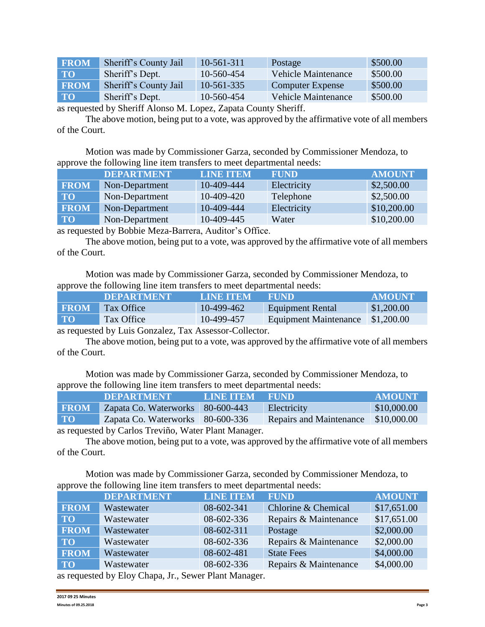| <b>FROM</b> | Sheriff's County Jail | 10-561-311   | Postage                 | \$500.00 |
|-------------|-----------------------|--------------|-------------------------|----------|
| <b>TO</b>   | Sheriff's Dept.       | 10-560-454   | Vehicle Maintenance     | \$500.00 |
| <b>FROM</b> | Sheriff's County Jail | $10-561-335$ | <b>Computer Expense</b> | \$500.00 |
| <b>TO</b>   | Sheriff's Dept.       | 10-560-454   | Vehicle Maintenance     | \$500.00 |

as requested by Sheriff Alonso M. Lopez, Zapata County Sheriff.

The above motion, being put to a vote, was approved by the affirmative vote of all members of the Court.

Motion was made by Commissioner Garza, seconded by Commissioner Mendoza, to approve the following line item transfers to meet departmental needs:

|             | <b>DEPARTMENT</b> | <b>LINE ITEM</b> | <b>FUND</b> | <b>AMOUNT</b> |
|-------------|-------------------|------------------|-------------|---------------|
| <b>FROM</b> | Non-Department    | 10-409-444       | Electricity | \$2,500.00    |
| <b>TO</b>   | Non-Department    | 10-409-420       | Telephone   | \$2,500.00    |
| <b>FROM</b> | Non-Department    | 10-409-444       | Electricity | \$10,200.00   |
| <b>TO</b>   | Non-Department    | 10-409-445       | Water       | \$10,200.00   |

as requested by Bobbie Meza-Barrera, Auditor's Office.

The above motion, being put to a vote, was approved by the affirmative vote of all members of the Court.

Motion was made by Commissioner Garza, seconded by Commissioner Mendoza, to approve the following line item transfers to meet departmental needs:

|             | <b>DEPARTMENT</b> | LINE ITEM  | <b>EFUND</b>            | ' AMOUNT   |
|-------------|-------------------|------------|-------------------------|------------|
| <b>FROM</b> | Tax Office        | 10-499-462 | <b>Equipment Rental</b> | \$1,200.00 |
| <b>TO</b>   | Tax Office        | 10-499-457 | Equipment Maintenance   | \$1,200.00 |

as requested by Luis Gonzalez, Tax Assessor-Collector.

The above motion, being put to a vote, was approved by the affirmative vote of all members of the Court.

Motion was made by Commissioner Garza, seconded by Commissioner Mendoza, to approve the following line item transfers to meet departmental needs:

|                                                                                                                                                          | <b>DEPARTMENT</b>                  | LINE ITEM FUND |                                | <b>AMOUNT</b> |  |
|----------------------------------------------------------------------------------------------------------------------------------------------------------|------------------------------------|----------------|--------------------------------|---------------|--|
| <b>FROM</b>                                                                                                                                              | Zapata Co. Waterworks   80-600-443 |                | Electricity                    | \$10,000.00   |  |
| <b>TO</b>                                                                                                                                                | Zapata Co. Waterworks 80-600-336   |                | <b>Repairs and Maintenance</b> | \$10,000.00   |  |
| $\sim$ as a contract of the $\alpha$ -decomposition $\mathbf{W}_{\alpha}$ and $\mathbf{W}_{\alpha}$ and $\mathbf{W}_{\alpha}$ are contracted in $\alpha$ |                                    |                |                                |               |  |

as requested by Carlos Treviño, Water Plant Manager.

The above motion, being put to a vote, was approved by the affirmative vote of all members of the Court.

Motion was made by Commissioner Garza, seconded by Commissioner Mendoza, to approve the following line item transfers to meet departmental needs:

|                                                                                                                                                                                                                                                       | <b>DEPARTMENT</b> | <b>LINE ITEM</b> | <b>FUND</b>           | <b>AMOUNT</b> |  |
|-------------------------------------------------------------------------------------------------------------------------------------------------------------------------------------------------------------------------------------------------------|-------------------|------------------|-----------------------|---------------|--|
| <b>FROM</b>                                                                                                                                                                                                                                           | Wastewater        | 08-602-341       | Chlorine & Chemical   | \$17,651.00   |  |
| <b>TO</b>                                                                                                                                                                                                                                             | Wastewater        | 08-602-336       | Repairs & Maintenance | \$17,651.00   |  |
| <b>FROM</b>                                                                                                                                                                                                                                           | Wastewater        | 08-602-311       | Postage               | \$2,000.00    |  |
| <b>TO</b>                                                                                                                                                                                                                                             | Wastewater        | 08-602-336       | Repairs & Maintenance | \$2,000.00    |  |
| <b>FROM</b>                                                                                                                                                                                                                                           | Wastewater        | 08-602-481       | <b>State Fees</b>     | \$4,000.00    |  |
| <b>TO</b>                                                                                                                                                                                                                                             | Wastewater        | 08-602-336       | Repairs & Maintenance | \$4,000.00    |  |
| $\pm$ 11 F1 $\pm$ 11 F1 $\pm$ 11 F1 $\pm$ 11 F1 $\pm$ 11 $\pm$ 11 $\pm$ 11 $\pm$ 11 $\pm$ 11 $\pm$ 11 $\pm$ 11 $\pm$ 11 $\pm$ 11 $\pm$ 11 $\pm$ 11 $\pm$ 11 $\pm$ 11 $\pm$ 11 $\pm$ 11 $\pm$ 11 $\pm$ 11 $\pm$ 11 $\pm$ 11 $\pm$ 11 $\pm$ 11 $\pm$ 11 |                   |                  |                       |               |  |

as requested by Eloy Chapa, Jr., Sewer Plant Manager.